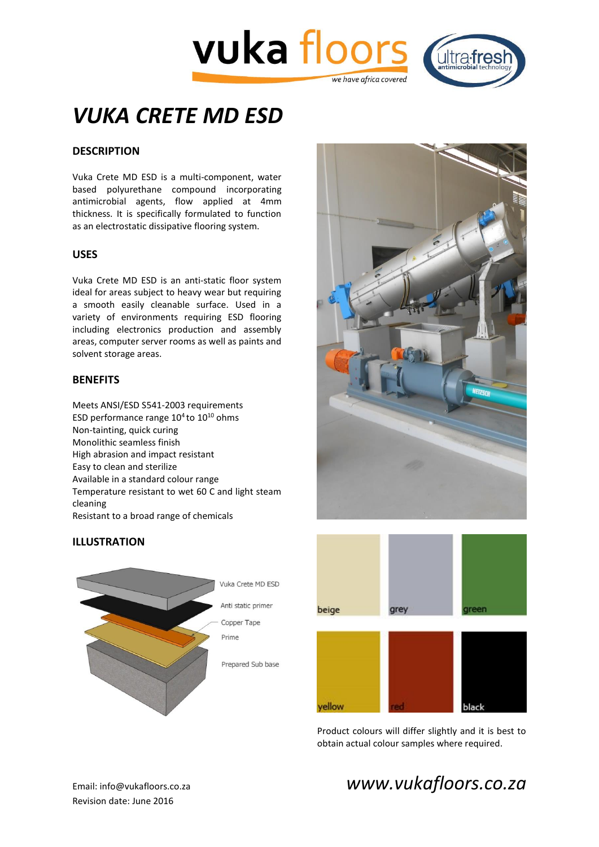



# *VUKA CRETE MD ESD*

# **DESCRIPTION**

Vuka Crete MD ESD is a multi-component, water based polyurethane compound incorporating antimicrobial agents, flow applied at 4mm thickness. It is specifically formulated to function as an electrostatic dissipative flooring system.

#### **USES**

Vuka Crete MD ESD is an anti-static floor system ideal for areas subject to heavy wear but requiring a smooth easily cleanable surface. Used in a variety of environments requiring ESD flooring including electronics production and assembly areas, computer server rooms as well as paints and solvent storage areas.

## **BENEFITS**

Meets ANSI/ESD S541-2003 requirements ESD performance range  $10^4$  to  $10^{10}$  ohms Non-tainting, quick curing Monolithic seamless finish High abrasion and impact resistant Easy to clean and sterilize Available in a standard colour range Temperature resistant to wet 60 C and light steam cleaning Resistant to a broad range of chemicals









Product colours will differ slightly and it is best to obtain actual colour samples where required.

Revision date: June 2016

# Email: info@vukafloors.co.za *www.vukafloors.co.za*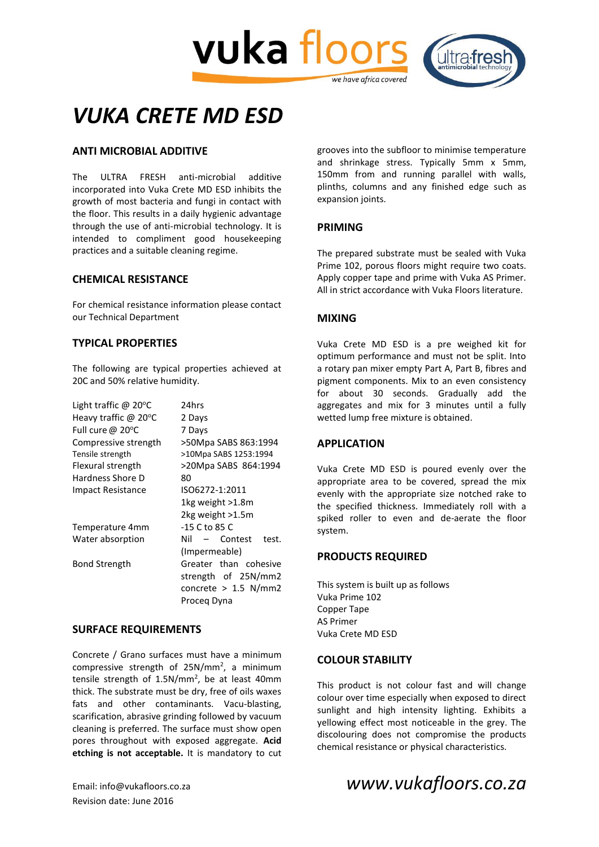



# *VUKA CRETE MD ESD*

# **ANTI MICROBIAL ADDITIVE**

The ULTRA FRESH anti-microbial additive incorporated into Vuka Crete MD ESD inhibits the growth of most bacteria and fungi in contact with the floor. This results in a daily hygienic advantage through the use of anti-microbial technology. It is intended to compliment good housekeeping practices and a suitable cleaning regime.

#### **CHEMICAL RESISTANCE**

For chemical resistance information please contact our Technical Department

## **TYPICAL PROPERTIES**

The following are typical properties achieved at 20C and 50% relative humidity.

| Light traffic @ $20^{\circ}$ C | 24hrs                          |
|--------------------------------|--------------------------------|
| Heavy traffic $@$ 20 $°C$      | 2 Days                         |
| Full cure @ 20°C               | 7 Days                         |
| Compressive strength           | >50Mpa SABS 863:1994           |
| Tensile strength               | >10Mpa SABS 1253:1994          |
| Flexural strength              | >20Mpa SABS 864:1994           |
| Hardness Shore D               | 80                             |
| Impact Resistance              | ISO6272-1:2011                 |
|                                | 1kg weight >1.8m               |
|                                | 2kg weight >1.5m               |
| Temperature 4mm                | -15 C to 85 C                  |
| Water absorption               | Nil<br>Contest<br>test.<br>$-$ |
|                                | (Impermeable)                  |
| <b>Bond Strength</b>           | Greater than cohesive          |
|                                | strength of 25N/mm2            |
|                                | concrete $> 1.5$ N/mm2         |
|                                | Proceg Dyna                    |

#### **SURFACE REQUIREMENTS**

Concrete / Grano surfaces must have a minimum compressive strength of  $25N/mm^2$ , a minimum tensile strength of 1.5N/mm<sup>2</sup>, be at least 40mm thick. The substrate must be dry, free of oils waxes fats and other contaminants. Vacu-blasting, scarification, abrasive grinding followed by vacuum cleaning is preferred. The surface must show open pores throughout with exposed aggregate. **Acid etching is not acceptable.** It is mandatory to cut

Revision date: June 2016

grooves into the subfloor to minimise temperature and shrinkage stress. Typically 5mm x 5mm, 150mm from and running parallel with walls, plinths, columns and any finished edge such as expansion joints.

## **PRIMING**

The prepared substrate must be sealed with Vuka Prime 102, porous floors might require two coats. Apply copper tape and prime with Vuka AS Primer. All in strict accordance with Vuka Floors literature.

#### **MIXING**

Vuka Crete MD ESD is a pre weighed kit for optimum performance and must not be split. Into a rotary pan mixer empty Part A, Part B, fibres and pigment components. Mix to an even consistency for about 30 seconds. Gradually add the aggregates and mix for 3 minutes until a fully wetted lump free mixture is obtained.

#### **APPLICATION**

Vuka Crete MD ESD is poured evenly over the appropriate area to be covered, spread the mix evenly with the appropriate size notched rake to the specified thickness. Immediately roll with a spiked roller to even and de-aerate the floor system.

#### **PRODUCTS REQUIRED**

This system is built up as follows Vuka Prime 102 Copper Tape AS Primer Vuka Crete MD ESD

#### **COLOUR STABILITY**

This product is not colour fast and will change colour over time especially when exposed to direct sunlight and high intensity lighting. Exhibits a yellowing effect most noticeable in the grey. The discolouring does not compromise the products chemical resistance or physical characteristics.

# Email: info@vukafloors.co.za *www.vukafloors.co.za*